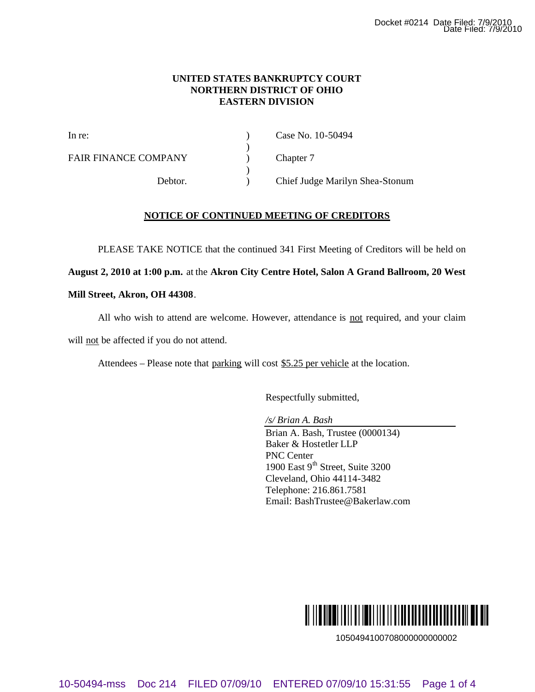## **UNITED STATES BANKRUPTCY COURT NORTHERN DISTRICT OF OHIO EASTERN DIVISION**

 $\lambda$ 

 $\lambda$ 

FAIR FINANCE COMPANY (a) Chapter 7

In re: (a) Case No. 10-50494

Debtor. ) Chief Judge Marilyn Shea-Stonum

# **NOTICE OF CONTINUED MEETING OF CREDITORS**

PLEASE TAKE NOTICE that the continued 341 First Meeting of Creditors will be held on

**August 2, 2010 at 1:00 p.m.** at the **Akron City Centre Hotel, Salon A Grand Ballroom, 20 West** 

## **Mill Street, Akron, OH 44308**.

All who wish to attend are welcome. However, attendance is not required, and your claim

will not be affected if you do not attend.

Attendees – Please note that parking will cost \$5.25 per vehicle at the location.

Respectfully submitted,

*/s/ Brian A. Bash*

Brian A. Bash, Trustee (0000134) Baker & Hostetler LLP PNC Center 1900 East  $9<sup>th</sup>$  Street, Suite 3200 Cleveland, Ohio 44114-3482 Telephone: 216.861.7581 Email: BashTrustee@Bakerlaw.com 10-60494-mss Doc 214 FILED 07/09/10 ENTERED 07/09/10 ENTERCHE DATA And the United CAST COMPANY<br>
BAR FINANCE COMPANY<br>  $\leftarrow$  2  $\leftarrow$  2  $\leftarrow$  046494<br>
FAIR FINANCE COMPANY<br>
Theore.<br>  $\leftarrow$  2  $\leftarrow$  2019 of 21304 Home and 214 Fi

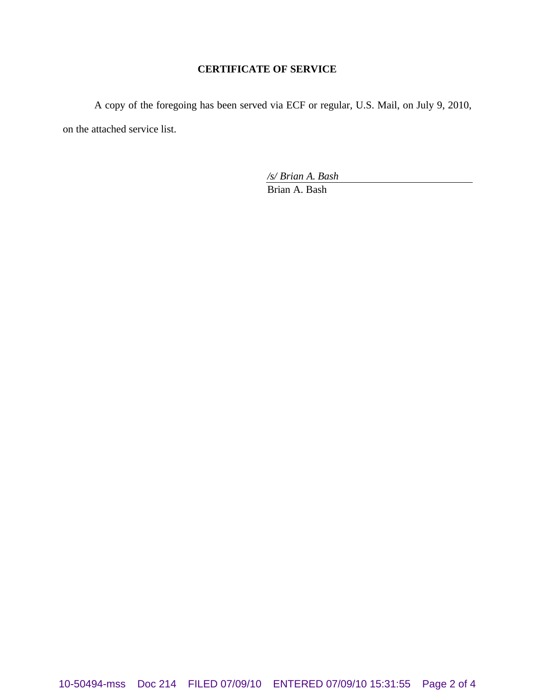# **CERTIFICATE OF SERVICE**

A copy of the foregoing has been served via ECF or regular, U.S. Mail, on July 9, 2010, on the attached service list.

*/s/ Brian A. Bash*

Brian A. Bash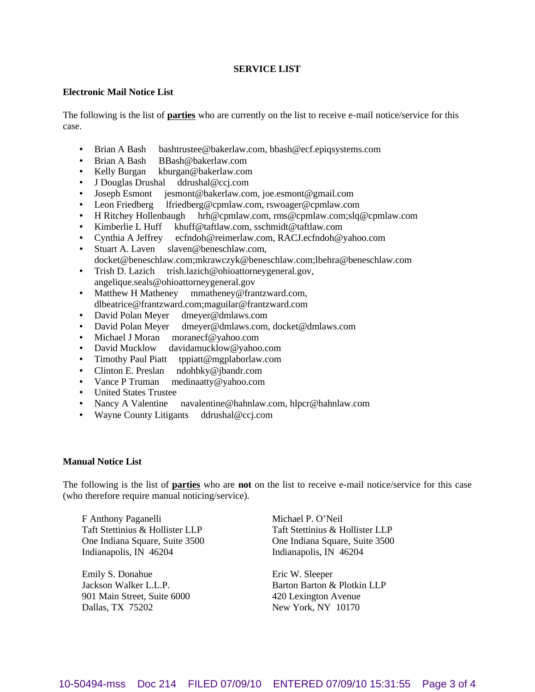### **SERVICE LIST**

### **Electronic Mail Notice List**

The following is the list of **parties** who are currently on the list to receive e-mail notice/service for this case.

- Brian A Bash bashtrustee@bakerlaw.com, bbash@ecf.epiqsystems.com
- Brian A Bash BBash@bakerlaw.com
- Kelly Burgan kburgan@bakerlaw.com
- J Douglas Drushal ddrushal@ccj.com
- Joseph Esmont jesmont@bakerlaw.com, joe.esmont@gmail.com
- Leon Friedberg lfriedberg@cpmlaw.com, rswoager@cpmlaw.com
- H Ritchey Hollenbaugh hrh@cpmlaw.com, rms@cpmlaw.com;slq@cpmlaw.com
- Kimberlie L Huff khuff@taftlaw.com, sschmidt@taftlaw.com
- Cynthia A Jeffrey ecfndoh@reimerlaw.com, RACJ.ecfndoh@yahoo.com
- Stuart A. Laven slaven@beneschlaw.com, docket@beneschlaw.com;mkrawczyk@beneschlaw.com;lbehra@beneschlaw.com
- Trish D. Lazich trish.lazich@ohioattorneygeneral.gov, angelique.seals@ohioattorneygeneral.gov
- Matthew H Matheney mmatheney@frantzward.com, dlbeatrice@frantzward.com;maguilar@frantzward.com
- David Polan Meyer dmeyer@dmlaws.com
- David Polan Meyer dmeyer@dmlaws.com, docket@dmlaws.com
- Michael J Moran moranecf@yahoo.com
- David Mucklow davidamucklow@yahoo.com
- Timothy Paul Piatt tppiatt@mgplaborlaw.com
- Clinton E. Preslan ndohbky@jbandr.com
- Vance P Truman medinaatty@yahoo.com
- United States Trustee
- Nancy A Valentine navalentine@hahnlaw.com, hlpcr@hahnlaw.com
- Wayne County Litigants ddrushal@ccj.com

### **Manual Notice List**

The following is the list of **parties** who are **not** on the list to receive e-mail notice/service for this case (who therefore require manual noticing/service).

F Anthony Paganelli Taft Stettinius & Hollister LLP One Indiana Square, Suite 3500 Indianapolis, IN 46204

Emily S. Donahue Jackson Walker L.L.P. 901 Main Street, Suite 6000 Dallas, TX 75202

Michael P. O'Neil Taft Stettinius & Hollister LLP One Indiana Square, Suite 3500 Indianapolis, IN 46204

Eric W. Sleeper Barton Barton & Plotkin LLP 420 Lexington Avenue New York, NY 10170